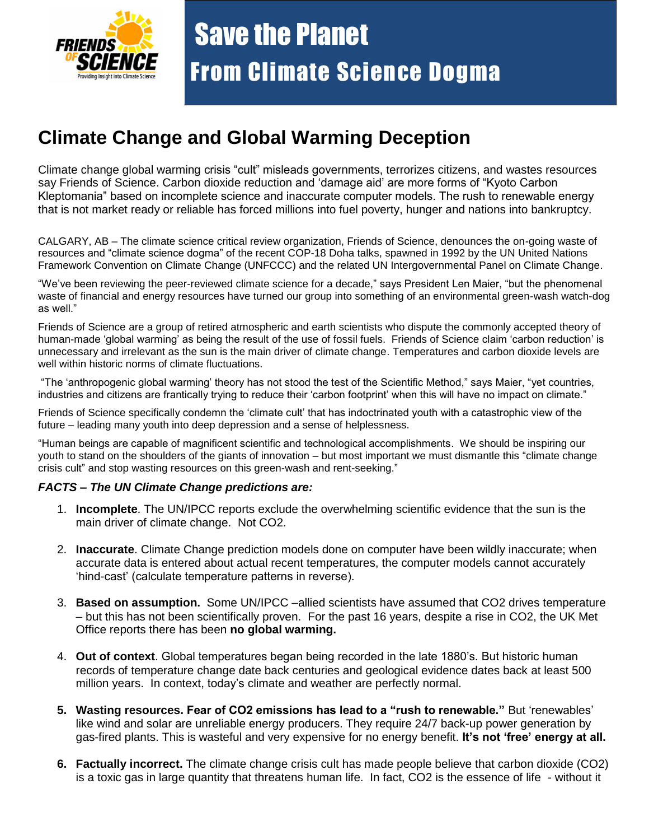

## **Climate Change and Global Warming Deception**

Climate change global warming crisis "cult" misleads governments, terrorizes citizens, and wastes resources say Friends of Science. Carbon dioxide reduction and "damage aid" are more forms of "Kyoto Carbon Kleptomania" based on incomplete science and inaccurate computer models. The rush to renewable energy that is not market ready or reliable has forced millions into fuel poverty, hunger and nations into bankruptcy.

CALGARY, AB – The climate science critical review organization, Friends of Science, denounces the on-going waste of resources and "climate science dogma" of the recent COP-18 Doha talks, spawned in 1992 by the UN United Nations Framework Convention on Climate Change (UNFCCC) and the related UN Intergovernmental Panel on Climate Change.

"We"ve been reviewing the peer-reviewed climate science for a decade," says President Len Maier, "but the phenomenal waste of financial and energy resources have turned our group into something of an environmental green-wash watch-dog as well."

Friends of Science are a group of retired atmospheric and earth scientists who dispute the commonly accepted theory of human-made 'global warming' as being the result of the use of fossil fuels. Friends of Science claim 'carbon reduction' is unnecessary and irrelevant as the sun is the main driver of climate change. Temperatures and carbon dioxide levels are well within historic norms of climate fluctuations.

"The "anthropogenic global warming" theory has not stood the test of the Scientific Method," says Maier, "yet countries, industries and citizens are frantically trying to reduce their "carbon footprint" when this will have no impact on climate."

Friends of Science specifically condemn the "climate cult" that has indoctrinated youth with a catastrophic view of the future – leading many youth into deep depression and a sense of helplessness.

"Human beings are capable of magnificent scientific and technological accomplishments. We should be inspiring our youth to stand on the shoulders of the giants of innovation – but most important we must dismantle this "climate change crisis cult" and stop wasting resources on this green-wash and rent-seeking."

## *FACTS – The UN Climate Change predictions are:*

- 1. **Incomplete**. The UN/IPCC reports exclude the overwhelming scientific evidence that the sun is the main driver of climate change. Not CO2.
- 2. **Inaccurate**. Climate Change prediction models done on computer have been wildly inaccurate; when accurate data is entered about actual recent temperatures, the computer models cannot accurately "hind-cast" (calculate temperature patterns in reverse).
- 3. **Based on assumption.** Some UN/IPCC –allied scientists have assumed that CO2 drives temperature – but this has not been scientifically proven. For the past 16 years, despite a rise in CO2, the UK Met Office reports there has been **no global warming.**
- 4. **Out of context**. Global temperatures began being recorded in the late 1880"s. But historic human records of temperature change date back centuries and geological evidence dates back at least 500 million years. In context, today"s climate and weather are perfectly normal.
- **5. Wasting resources. Fear of CO2 emissions has lead to a "rush to renewable."** But "renewables" like wind and solar are unreliable energy producers. They require 24/7 back-up power generation by gas-fired plants. This is wasteful and very expensive for no energy benefit. **It's not 'free' energy at all.**
- **6. Factually incorrect.** The climate change crisis cult has made people believe that carbon dioxide (CO2) is a toxic gas in large quantity that threatens human life. In fact, CO2 is the essence of life - without it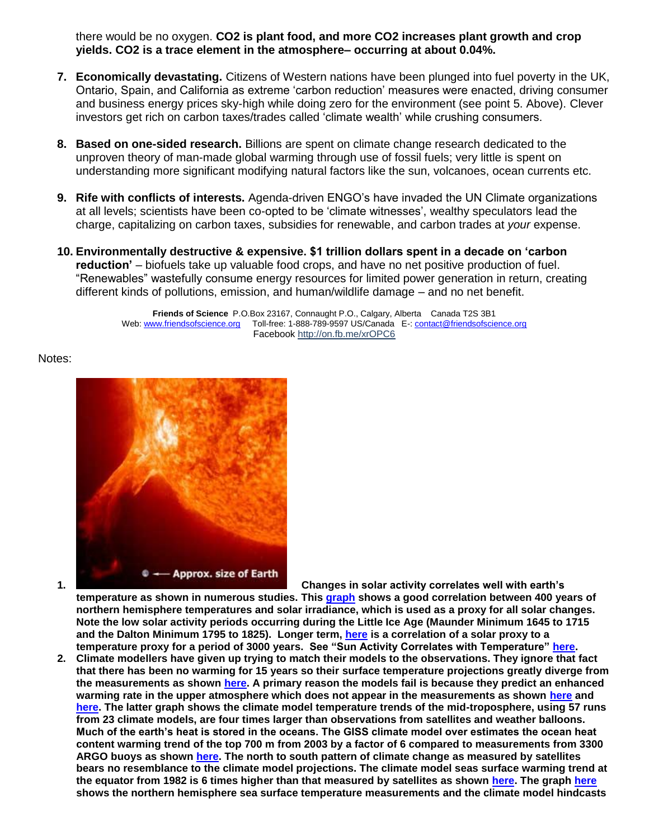there would be no oxygen. **CO2 is plant food, and more CO2 increases plant growth and crop yields. CO2 is a trace element in the atmosphere– occurring at about 0.04%.**

- **7. Economically devastating.** Citizens of Western nations have been plunged into fuel poverty in the UK, Ontario, Spain, and California as extreme "carbon reduction" measures were enacted, driving consumer and business energy prices sky-high while doing zero for the environment (see point 5. Above). Clever investors get rich on carbon taxes/trades called "climate wealth" while crushing consumers.
- **8. Based on one-sided research.** Billions are spent on climate change research dedicated to the unproven theory of man-made global warming through use of fossil fuels; very little is spent on understanding more significant modifying natural factors like the sun, volcanoes, ocean currents etc.
- **9. Rife with conflicts of interests.** Agenda-driven ENGO"s have invaded the UN Climate organizations at all levels; scientists have been co-opted to be "climate witnesses", wealthy speculators lead the charge, capitalizing on carbon taxes, subsidies for renewable, and carbon trades at *your* expense.
- **10. Environmentally destructive & expensive. \$1 trillion dollars spent in a decade on "carbon reduction"** – biofuels take up valuable food crops, and have no net positive production of fuel. "Renewables" wastefully consume energy resources for limited power generation in return, creating different kinds of pollutions, emission, and human/wildlife damage – and no net benefit.

**Friends of Science** P.O.Box 23167, Connaught P.O., Calgary, Alberta Canada T2S 3B1 Web: [www.friendsofscience.org](http://www.friendsofscience.org/) Toll-free: 1-888-789-9597 US/Canada E-[: contact@friendsofscience.org](mailto:contact@friendsofscience.org) Facebook<http://on.fb.me/xrOPC6>

Notes:



**1. Changes in solar activity correlates well with earth"s** 

**temperature as shown in numerous studies. This [graph](http://www.friendsofscience.org/assets/documents/FOS%20Essay/ScafettaWestSunvsTemp%20Adj.jpg) shows a good correlation between 400 years of northern hemisphere temperatures and solar irradiance, which is used as a proxy for all solar changes. Note the low solar activity periods occurring during the Little Ice Age (Maunder Minimum 1645 to 1715 and the Dalton Minimum 1795 to 1825). Longer term, [here](http://www.friendsofscience.org/assets/documents/FOS%20Essay/Solar%20activity%20CR%20vs%20Temp.jpg) is a correlation of a solar proxy to a temperature proxy for a period of 3000 years. See "Sun Activity Correlates with Temperature" [here.](http://www.friendsofscience.org/assets/documents/FOS%20Essay/Climate_Change_Science.html#Sun_Activity)**

**2. Climate modellers have given up trying to match their models to the observations. They ignore that fact that there has been no warming for 15 years so their surface temperature projections greatly diverge from the measurements as shown [here.](http://www.friendsofscience.org/assets/documents/ClimateModels_Obs.jpg) A primary reason the models fail is because they predict an enhanced warming rate in the upper atmosphere which does not appear in the measurements as shown [here](http://www.friendsofscience.org/assets/documents/FOS%20Essay/Climate%20model%20comparisons.JPG) and [here.](http://www.friendsofscience.org/assets/documents/FOS%20Essay/mmh_trends2010.jpg) The latter graph shows the climate model temperature trends of the mid-troposphere, using 57 runs from 23 climate models, are four times larger than observations from satellites and weather balloons. Much of the earth"s heat is stored in the oceans. The GISS climate model over estimates the ocean heat content warming trend of the top 700 m from 2003 by a factor of 6 compared to measurements from 3300 ARGO buoys as shown [here.](http://www.friendsofscience.org/assets/documents/FOS%20Essay/OceanHeat_GISS.jpg) The north to south pattern of climate change as measured by satellites bears no resemblance to the climate model projections. The climate model seas surface warming trend at the equator from 1982 is 6 times higher than that measured by satellites as shown [here.](http://www.friendsofscience.org/assets/documents/FOS%20Essay/Tisdale_Lat_SST_Model.jpg) The graph [here](http://www.friendsofscience.org/assets/documents/FOS%20Essay/Tisdale_NA_SST_Model_1910-44.jpg) shows the northern hemisphere sea surface temperature measurements and the climate model hindcasts**